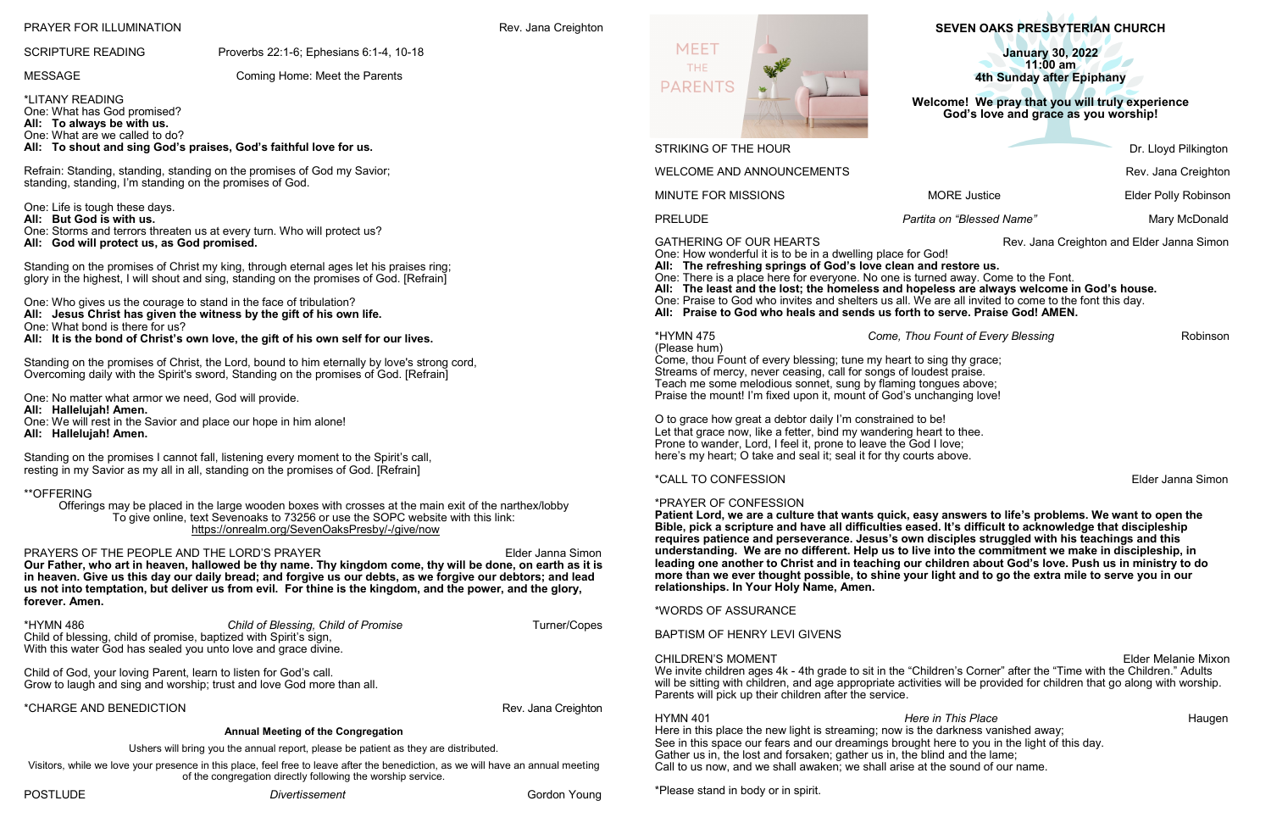**SEVEN OAKS PRESBYTERIAN CHURCH**

**January 30, 2022 11:00 am 4th Sunday after Epiphany**

**Welcome!****We pray that you will truly experience God's love and grace as you worship!**

GATHERING OF OUR HEARTS **Rev. Jana Creighton and Elder Janna Simon** 

PRELUDE *Partita on "Blessed Name"* Mary McDonald

One: How wonderful it is to be in a dwelling place for God!

**All: The refreshing springs of God's love clean and restore us.** One: There is a place here for everyone. No one is turned away. Come to the Font. **All: The least and the lost; the homeless and hopeless are always welcome in God's house.** One: Praise to God who invites and shelters us all. We are all invited to come to the font this day. **All: Praise to God who heals and sends us forth to serve. Praise God! AMEN.**

\*HYMN 475 *Come, Thou Fount of Every Blessing* Robinson

(Please hum) Come, thou Fount of every blessing; tune my heart to sing thy grace; Streams of mercy, never ceasing, call for songs of loudest praise. Teach me some melodious sonnet, sung by flaming tongues above; Praise the mount! I'm fixed upon it, mount of God's unchanging love!

O to grace how great a debtor daily I'm constrained to be! Let that grace now, like a fetter, bind my wandering heart to thee. Prone to wander, Lord, I feel it, prone to leave the God I love; here's my heart; O take and seal it; seal it for thy courts above.

HYMN 401 *Here in This Place* **Hymn 401 Haugen** Here in this place the new light is streaming; now is the darkness vanished away; See in this space our fears and our dreamings brought here to you in the light of this day. Gather us in, the lost and forsaken; gather us in, the blind and the lame; Call to us now, and we shall awaken; we shall arise at the sound of our name.

\*CALL TO CONFESSION Elder Janna Simon

## \*PRAYER OF CONFESSION

**Patient Lord, we are a culture that wants quick, easy answers to life's problems. We want to open the Bible, pick a scripture and have all difficulties eased. It's difficult to acknowledge that discipleship requires patience and perseverance. Jesus's own disciples struggled with his teachings and this understanding. We are no different. Help us to live into the commitment we make in discipleship, in leading one another to Christ and in teaching our children about God's love. Push us in ministry to do more than we ever thought possible, to shine your light and to go the extra mile to serve you in our relationships. In Your Holy Name, Amen.**

\*WORDS OF ASSURANCE

BAPTISM OF HENRY LEVI GIVENS

CHILDREN'S MOMENT Elder Melanie Mixon We invite children ages 4k - 4th grade to sit in the "Children's Corner" after the "Time with the Children." Adults will be sitting with children, and age appropriate activities will be provided for children that go along with worship. Parents will pick up their children after the service.

PRAYERS OF THE PEOPLE AND THE LORD'S PRAYER **Elder Janna Simon Our Father, who art in heaven, hallowed be thy name. Thy kingdom come, thy will be done, on earth as it is in heaven. Give us this day our daily bread; and forgive us our debts, as we forgive our debtors; and lead us not into temptation, but deliver us from evil. For thine is the kingdom, and the power, and the glory, forever. Amen.** 

\*Please stand in body or in spirit.

## PRAYER FOR ILLUMINATION **Rev. Jana Creighton**

## SCRIPTURE READING Proverbs 22:1-6; Ephesians 6:1-4, 10-18

## MESSAGE Coming Home: Meet the Parents

\*LITANY READING One: What has God promised? **All: To always be with us.** One: What are we called to do? **All: To shout and sing God's praises, God's faithful love for us.**

Refrain: Standing, standing, standing on the promises of God my Savior; standing, standing, I'm standing on the promises of God.

## One: Life is tough these days.

**All: But God is with us.**

One: Storms and terrors threaten us at every turn. Who will protect us? **All: God will protect us, as God promised.**

Standing on the promises of Christ my king, through eternal ages let his praises ring; glory in the highest, I will shout and sing, standing on the promises of God. [Refrain]

One: Who gives us the courage to stand in the face of tribulation? **All: Jesus Christ has given the witness by the gift of his own life.** One: What bond is there for us?

**All: It is the bond of Christ's own love, the gift of his own self for our lives.**

Standing on the promises of Christ, the Lord, bound to him eternally by love's strong cord, Overcoming daily with the Spirit's sword, Standing on the promises of God. [Refrain]

One: No matter what armor we need, God will provide.

- **All: Hallelujah! Amen.**
- One: We will rest in the Savior and place our hope in him alone!
- **All: Hallelujah! Amen.**

Standing on the promises I cannot fall, listening every moment to the Spirit's call, resting in my Savior as my all in all, standing on the promises of God. [Refrain]

## \*\*OFFERING

Offerings may be placed in the large wooden boxes with crosses at the main exit of the narthex/lobby To give online, text Sevenoaks to 73256 or use the SOPC website with this link: [https://onrealm.org/SevenOaksPresby/](https://onrealm.org/SevenOaksPresby/-/give/now)-/give/now

\*HYMN 486 *Child of Blessing, Child of Promise* Turner/Copes Child of blessing, child of promise, baptized with Spirit's sign, With this water God has sealed you unto love and grace divine.

Child of God, your loving Parent, learn to listen for God's call. Grow to laugh and sing and worship; trust and love God more than all.

\*CHARGE AND BENEDICTION Rev. Jana Creighton

### **Annual Meeting of the Congregation**

Ushers will bring you the annual report, please be patient as they are distributed.

Visitors, while we love your presence in this place, feel free to leave after the benediction, as we will have an annual meeting of the congregation directly following the worship service.



STRIKING OF THE HOUR DRIVE AND THE STRIKING OF THE HOUR

WELCOME AND ANNOUNCEMENTS **Rev. Jana Creighton** 

MINUTE FOR MISSIONS **MORE Justice** MORE Solution MORE SERVICE ROOM AND MORE JUSTICE POLICE POLICE ROBINSON